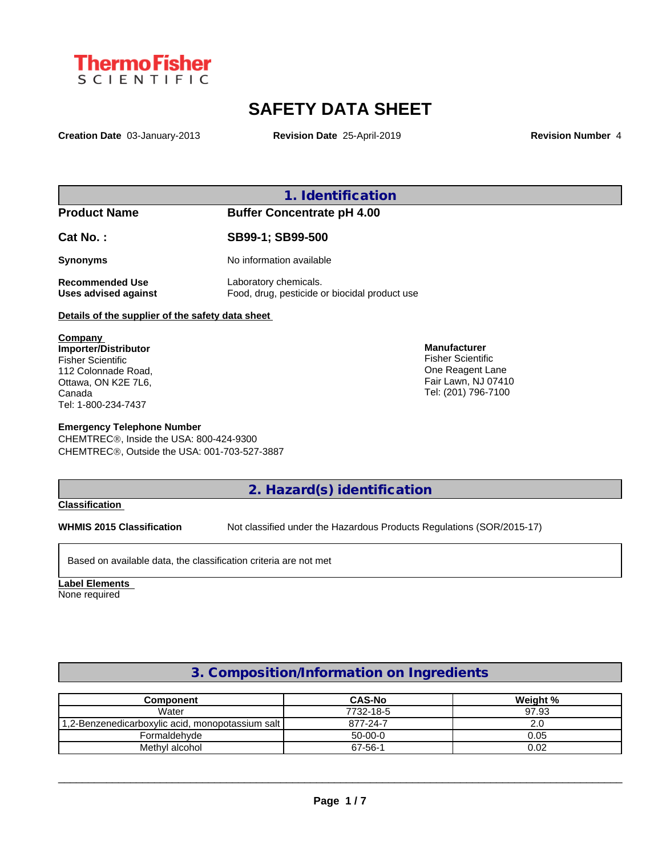

# **SAFETY DATA SHEET**

**Creation Date** 03-January-2013 **Revision Date** 25-April-2019 **Revision Number** 4

**1. Identification**

**Product Name Buffer Concentrate pH 4.00**

**Cat No. : SB99-1; SB99-500**

**Synonyms** No information available

**Recommended Use** Laboratory chemicals.

**Uses advised against** Food, drug, pesticide or biocidal product use

**Details of the supplier of the safety data sheet**

**Company Importer/Distributor** Fisher Scientific 112 Colonnade Road, Ottawa, ON K2E 7L6, Canada Tel: 1-800-234-7437

#### **Emergency Telephone Number**

CHEMTREC®, Inside the USA: 800-424-9300 CHEMTRECÒ, Outside the USA: 001-703-527-3887

**Manufacturer** Fisher Scientific One Reagent Lane Fair Lawn, NJ 07410 Tel: (201) 796-7100

**2. Hazard(s) identification**

#### **Classification**

**WHMIS 2015 Classification** Not classified under the Hazardous Products Regulations (SOR/2015-17)

Based on available data, the classification criteria are not met

**Label Elements** None required

## **3. Composition/Information on Ingredients**

| Component                                        | <b>CAS-No</b> | Weight % |
|--------------------------------------------------|---------------|----------|
| Water                                            | 7732-18-5     | 97.93    |
| 1,2-Benzenedicarboxylic acid, monopotassium salt | 877-24-7      | 2.0      |
| Formaldehyde                                     | $50-00-0$     | 0.05     |
| Methyl alcohol                                   | 67-56-1       | 0.02     |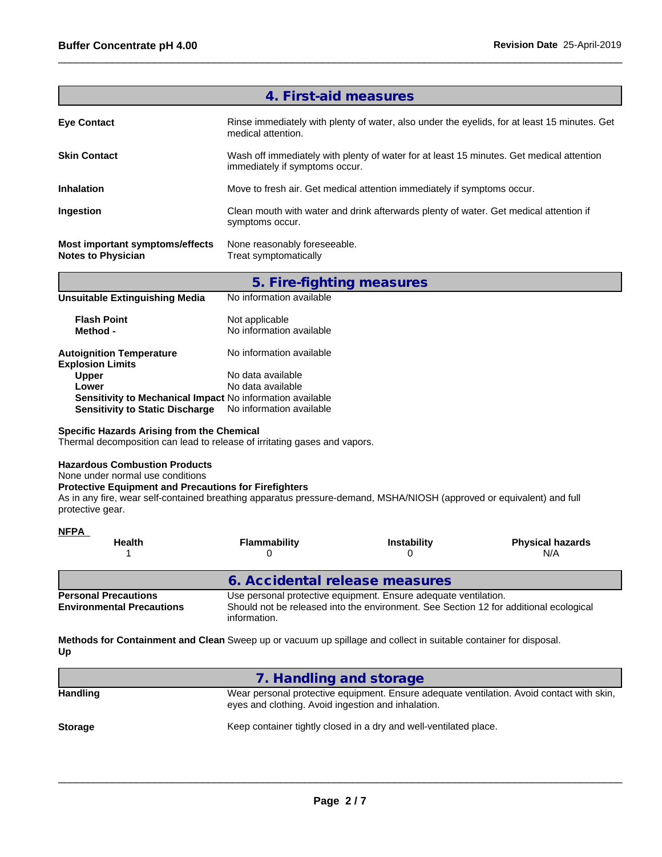|                                                              | 4. First-aid measures                                                                                                      |
|--------------------------------------------------------------|----------------------------------------------------------------------------------------------------------------------------|
| <b>Eye Contact</b>                                           | Rinse immediately with plenty of water, also under the eyelids, for at least 15 minutes. Get<br>medical attention.         |
| <b>Skin Contact</b>                                          | Wash off immediately with plenty of water for at least 15 minutes. Get medical attention<br>immediately if symptoms occur. |
| <b>Inhalation</b>                                            | Move to fresh air. Get medical attention immediately if symptoms occur.                                                    |
| Ingestion                                                    | Clean mouth with water and drink afterwards plenty of water. Get medical attention if<br>symptoms occur.                   |
| Most important symptoms/effects<br><b>Notes to Physician</b> | None reasonably foreseeable.<br>Treat symptomatically                                                                      |
|                                                              |                                                                                                                            |

|                                                            | 5. Fire-fighting measures                  |
|------------------------------------------------------------|--------------------------------------------|
| <b>Unsuitable Extinguishing Media</b>                      | No information available                   |
| <b>Flash Point</b><br>Method -                             | Not applicable<br>No information available |
| <b>Autoignition Temperature</b><br><b>Explosion Limits</b> | No information available                   |
| Upper                                                      | No data available                          |
| Lower                                                      | No data available                          |
| Sensitivity to Mechanical Impact No information available  |                                            |
| <b>Sensitivity to Static Discharge</b>                     | No information available                   |

#### **Specific Hazards Arising from the Chemical**

Thermal decomposition can lead to release of irritating gases and vapors.

#### **Hazardous Combustion Products**

None under normal use conditions

#### **Protective Equipment and Precautions for Firefighters**

As in any fire, wear self-contained breathing apparatus pressure-demand, MSHA/NIOSH (approved or equivalent) and full protective gear.

#### **NFPA**

| <b>Health</b>                                                                                                                                                                                                                               | Flammability                   | <b>Instability</b> | <b>Physical hazards</b><br>N/A |  |
|---------------------------------------------------------------------------------------------------------------------------------------------------------------------------------------------------------------------------------------------|--------------------------------|--------------------|--------------------------------|--|
|                                                                                                                                                                                                                                             | 6. Accidental release measures |                    |                                |  |
| Use personal protective equipment. Ensure adequate ventilation.<br><b>Personal Precautions</b><br>Should not be released into the environment. See Section 12 for additional ecological<br><b>Environmental Precautions</b><br>information. |                                |                    |                                |  |

**Methods for Containment and Clean** Sweep up or vacuum up spillage and collect in suitable container for disposal. **Up**

| 7. Handling and storage                                                                                                                         |
|-------------------------------------------------------------------------------------------------------------------------------------------------|
| Wear personal protective equipment. Ensure adequate ventilation. Avoid contact with skin,<br>eyes and clothing. Avoid ingestion and inhalation. |
| Keep container tightly closed in a dry and well-ventilated place.                                                                               |
|                                                                                                                                                 |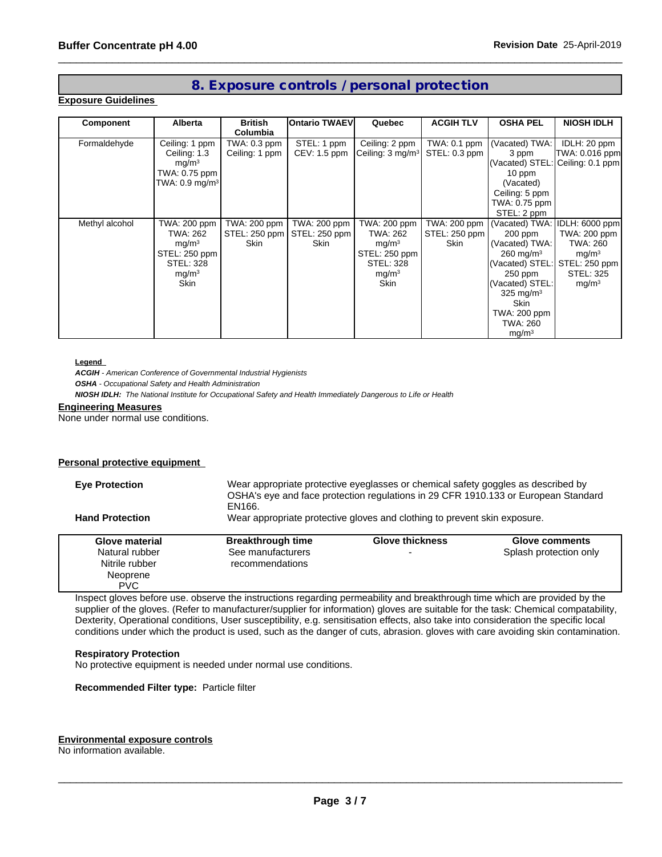### **8. Exposure controls / personal protection**

#### **Exposure Guidelines**

| Component      | <b>Alberta</b>               | <b>British</b><br>Columbia | <b>IOntario TWAEVI</b> | Quebec                       | <b>ACGIH TLV</b> | <b>OSHA PEL</b>               | <b>NIOSH IDLH</b>                |
|----------------|------------------------------|----------------------------|------------------------|------------------------------|------------------|-------------------------------|----------------------------------|
| Formaldehyde   | Ceiling: 1 ppm               | TWA: 0.3 ppm               | STEL: 1 ppm            | Ceiling: 2 ppm               | TWA: 0.1 ppm     | (Vacated) TWA:                | IDLH: 20 ppm                     |
|                | Ceiling: 1.3                 | Ceiling: 1 ppm             | $CEV: 1.5$ ppm         | Ceiling: 3 mg/m <sup>3</sup> | STEL: 0.3 ppm    | 3 ppm                         | TWA: 0.016 ppm                   |
|                | mq/m <sup>3</sup>            |                            |                        |                              |                  |                               | (Vacated) STEL: Ceiling: 0.1 ppm |
|                | TWA: 0.75 ppm                |                            |                        |                              |                  | 10 ppm                        |                                  |
|                | TWA: $0.9$ mg/m <sup>3</sup> |                            |                        |                              |                  | (Vacated)                     |                                  |
|                |                              |                            |                        |                              |                  | Ceiling: 5 ppm                |                                  |
|                |                              |                            |                        |                              |                  | TWA: 0.75 ppm                 |                                  |
|                |                              |                            |                        |                              |                  | STEL: 2 ppm                   |                                  |
| Methyl alcohol | TWA: 200 ppm                 | TWA: 200 ppm               | TWA: 200 ppm           | TWA: 200 ppm                 | TWA: 200 ppm     | (Vacated) TWA: IDLH: 6000 ppm |                                  |
|                | TWA: 262                     | STEL: 250 ppm              | STEL: 250 ppm          | TWA: 262                     | STEL: 250 ppm    | 200 ppm                       | TWA: 200 ppm                     |
|                | mq/m <sup>3</sup>            | <b>Skin</b>                | <b>Skin</b>            | mg/m <sup>3</sup>            | Skin             | (Vacated) TWA:                | TWA: 260                         |
|                | STEL: 250 ppm                |                            |                        | STEL: 250 ppm                |                  | $260$ mg/m <sup>3</sup>       | mg/m <sup>3</sup>                |
|                | <b>STEL: 328</b>             |                            |                        | <b>STEL: 328</b>             |                  |                               | (Vacated) STEL: STEL: 250 ppm    |
|                | mg/m <sup>3</sup>            |                            |                        | mg/m <sup>3</sup>            |                  | 250 ppm                       | <b>STEL: 325</b>                 |
|                | Skin                         |                            |                        | Skin                         |                  | (Vacated) STEL:               | mg/m <sup>3</sup>                |
|                |                              |                            |                        |                              |                  | 325 mg/m $3$                  |                                  |
|                |                              |                            |                        |                              |                  | Skin                          |                                  |
|                |                              |                            |                        |                              |                  | TWA: 200 ppm                  |                                  |
|                |                              |                            |                        |                              |                  | TWA: 260                      |                                  |
|                |                              |                            |                        |                              |                  | mg/m <sup>3</sup>             |                                  |

#### **Legend**

*ACGIH - American Conference of Governmental Industrial Hygienists*

*OSHA - Occupational Safety and Health Administration*

*NIOSH IDLH: The National Institute for Occupational Safety and Health Immediately Dangerous to Life or Health*

#### **Engineering Measures**

None under normal use conditions.

#### **Personal protective equipment**

| <b>Eye Protection</b>  | Wear appropriate protective eyeglasses or chemical safety goggles as described by<br>OSHA's eye and face protection regulations in 29 CFR 1910.133 or European Standard<br>EN166. |                                                                           |                        |  |
|------------------------|-----------------------------------------------------------------------------------------------------------------------------------------------------------------------------------|---------------------------------------------------------------------------|------------------------|--|
| <b>Hand Protection</b> |                                                                                                                                                                                   | Wear appropriate protective gloves and clothing to prevent skin exposure. |                        |  |
| Glove material         | <b>Breakthrough time</b>                                                                                                                                                          | <b>Glove thickness</b>                                                    | Glove comments         |  |
| Natural rubber         | See manufacturers                                                                                                                                                                 | $\overline{\phantom{0}}$                                                  | Splash protection only |  |
| Nitrile rubber         | recommendations                                                                                                                                                                   |                                                                           |                        |  |
| Neoprene               |                                                                                                                                                                                   |                                                                           |                        |  |
| <b>PVC</b>             |                                                                                                                                                                                   |                                                                           |                        |  |

Inspect gloves before use. observe the instructions regarding permeability and breakthrough time which are provided by the supplier of the gloves. (Refer to manufacturer/supplier for information) gloves are suitable for the task: Chemical compatability, Dexterity, Operational conditions, User susceptibility, e.g. sensitisation effects, also take into consideration the specific local conditions under which the product is used, such as the danger of cuts, abrasion. gloves with care avoiding skin contamination.

#### **Respiratory Protection**

No protective equipment is needed under normal use conditions.

**Recommended Filter type:** Particle filter

#### **Environmental exposure controls**

No information available.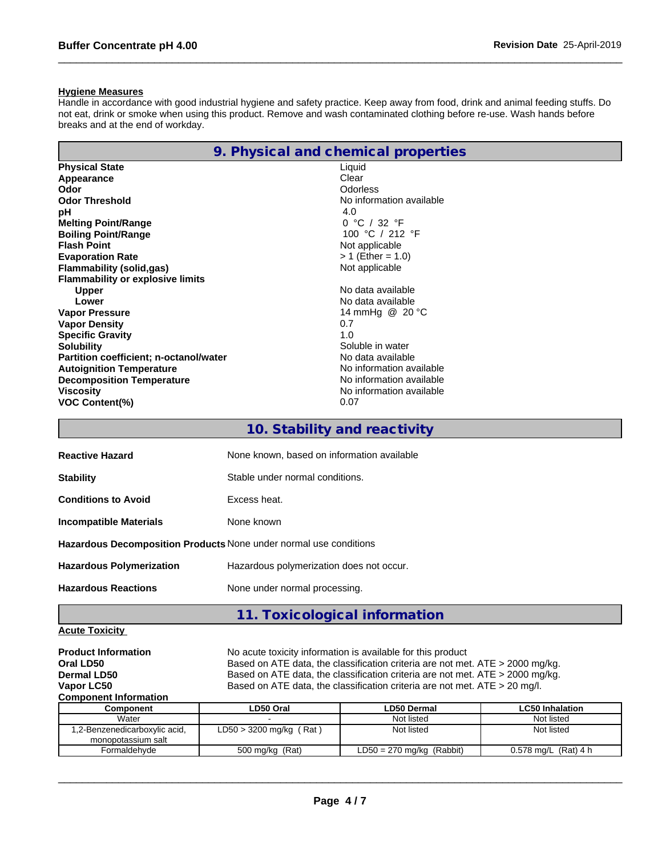#### **Hygiene Measures**

Handle in accordance with good industrial hygiene and safety practice. Keep away from food, drink and animal feeding stuffs. Do not eat, drink or smoke when using this product. Remove and wash contaminated clothing before re-use. Wash hands before breaks and at the end of workday.

|                                               | 9. Physical and chemical properties |
|-----------------------------------------------|-------------------------------------|
| <b>Physical State</b>                         | Liquid                              |
| Appearance                                    | Clear                               |
| Odor                                          | Odorless                            |
| <b>Odor Threshold</b>                         | No information available            |
| рH                                            | 4.0                                 |
| <b>Melting Point/Range</b>                    | 0 °C / 32 °F                        |
| <b>Boiling Point/Range</b>                    | 100 °C / 212 °F                     |
| <b>Flash Point</b>                            | Not applicable                      |
| <b>Evaporation Rate</b>                       | $> 1$ (Ether = 1.0)                 |
| <b>Flammability (solid,gas)</b>               | Not applicable                      |
| <b>Flammability or explosive limits</b>       |                                     |
| <b>Upper</b>                                  | No data available                   |
| Lower                                         | No data available                   |
| <b>Vapor Pressure</b>                         | 14 mmHg @ 20 °C                     |
| <b>Vapor Density</b>                          | 0.7                                 |
| <b>Specific Gravity</b>                       | 1.0                                 |
| <b>Solubility</b>                             | Soluble in water                    |
| <b>Partition coefficient; n-octanol/water</b> | No data available                   |
| <b>Autoignition Temperature</b>               | No information available            |
| <b>Decomposition Temperature</b>              | No information available            |
| <b>Viscosity</b>                              | No information available            |
| <b>VOC Content(%)</b>                         | 0.07                                |
|                                               |                                     |

| 10. Stability and reactivity |  |
|------------------------------|--|
|------------------------------|--|

| <b>Reactive Hazard</b>                                                   | None known, based on information available |
|--------------------------------------------------------------------------|--------------------------------------------|
| <b>Stability</b>                                                         | Stable under normal conditions.            |
| <b>Conditions to Avoid</b>                                               | Excess heat.                               |
| <b>Incompatible Materials</b>                                            | None known                                 |
| <b>Hazardous Decomposition Products None under normal use conditions</b> |                                            |
| <b>Hazardous Polymerization</b>                                          | Hazardous polymerization does not occur.   |
| <b>Hazardous Reactions</b>                                               | None under normal processing.              |
|                                                                          | 11. Toxicological information              |

#### **Acute Toxicity**

| <b>Product Information</b><br>Oral LD50<br><b>Dermal LD50</b><br>Vapor LC50<br><b>Component Information</b> |                           | No acute toxicity information is available for this product<br>Based on ATE data, the classification criteria are not met. ATE > 2000 mg/kg.<br>Based on ATE data, the classification criteria are not met. ATE > 2000 mg/kg.<br>Based on ATE data, the classification criteria are not met. ATE $>$ 20 mg/l. |                        |
|-------------------------------------------------------------------------------------------------------------|---------------------------|---------------------------------------------------------------------------------------------------------------------------------------------------------------------------------------------------------------------------------------------------------------------------------------------------------------|------------------------|
| <b>Component</b>                                                                                            | LD50 Oral                 | <b>LD50 Dermal</b>                                                                                                                                                                                                                                                                                            | <b>LC50 Inhalation</b> |
| Water                                                                                                       |                           | Not listed                                                                                                                                                                                                                                                                                                    | Not listed             |
| 1,2-Benzenedicarboxylic acid,<br>monopotassium salt                                                         | $LD50 > 3200$ mg/kg (Rat) | Not listed                                                                                                                                                                                                                                                                                                    | Not listed             |
| Formaldehvde                                                                                                | 500 mg/kg (Rat)           | $LD50 = 270$ mg/kg (Rabbit)                                                                                                                                                                                                                                                                                   | 0.578 mg/L $(Rat)$ 4 h |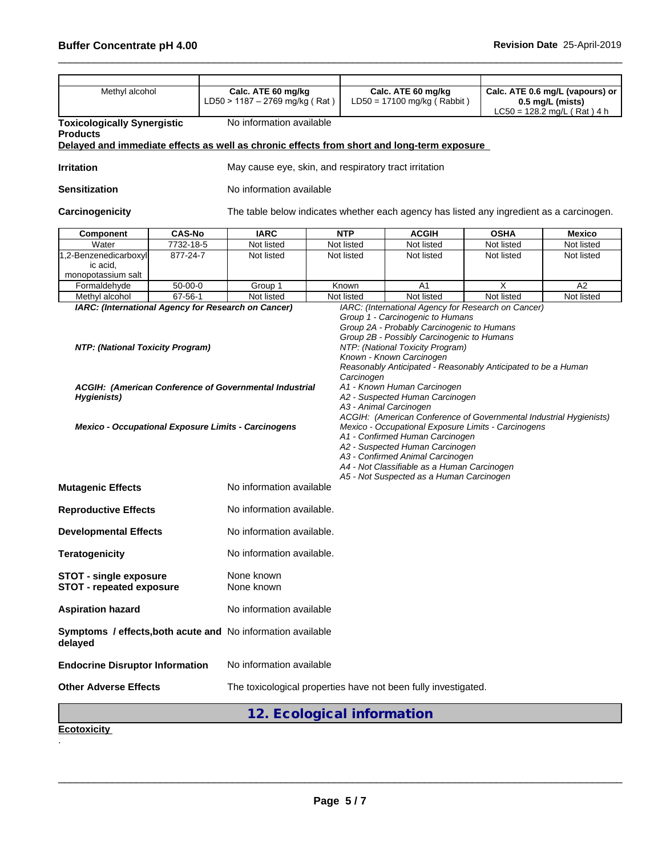| Methyl alcohol                                                                                                                                      | Calc. ATE 60 mg/kg<br>LD50 > 1187 - 2769 mg/kg (Rat)  |                                                                | Calc. ATE 60 mg/kg<br>$LD50 = 17100$ mg/kg (Rabbit) |                                                                                                                                                                                                                                                                                                                                                                                                                                                                   |                              | Calc. ATE 0.6 mg/L (vapours) or<br>0.5 mg/L (mists)<br>$LC50 = 128.2$ mg/L (Rat) 4 h |  |  |
|-----------------------------------------------------------------------------------------------------------------------------------------------------|-------------------------------------------------------|----------------------------------------------------------------|-----------------------------------------------------|-------------------------------------------------------------------------------------------------------------------------------------------------------------------------------------------------------------------------------------------------------------------------------------------------------------------------------------------------------------------------------------------------------------------------------------------------------------------|------------------------------|--------------------------------------------------------------------------------------|--|--|
| <b>Toxicologically Synergistic</b><br><b>Products</b><br>Delayed and immediate effects as well as chronic effects from short and long-term exposure | No information available                              |                                                                |                                                     |                                                                                                                                                                                                                                                                                                                                                                                                                                                                   |                              |                                                                                      |  |  |
| <b>Irritation</b>                                                                                                                                   | May cause eye, skin, and respiratory tract irritation |                                                                |                                                     |                                                                                                                                                                                                                                                                                                                                                                                                                                                                   |                              |                                                                                      |  |  |
| <b>Sensitization</b>                                                                                                                                |                                                       | No information available                                       |                                                     |                                                                                                                                                                                                                                                                                                                                                                                                                                                                   |                              |                                                                                      |  |  |
| Carcinogenicity                                                                                                                                     |                                                       |                                                                |                                                     | The table below indicates whether each agency has listed any ingredient as a carcinogen.                                                                                                                                                                                                                                                                                                                                                                          |                              |                                                                                      |  |  |
| <b>CAS-No</b><br>Component                                                                                                                          | <b>IARC</b>                                           |                                                                | <b>NTP</b><br><b>ACGIH</b>                          |                                                                                                                                                                                                                                                                                                                                                                                                                                                                   | <b>OSHA</b><br><b>Mexico</b> |                                                                                      |  |  |
| 7732-18-5<br>Water                                                                                                                                  | Not listed                                            |                                                                | Not listed<br>Not listed                            |                                                                                                                                                                                                                                                                                                                                                                                                                                                                   | Not listed                   | Not listed                                                                           |  |  |
| 1,2-Benzenedicarboxyl<br>877-24-7<br>ic acid,<br>monopotassium salt                                                                                 | Not listed                                            |                                                                | Not listed                                          | Not listed                                                                                                                                                                                                                                                                                                                                                                                                                                                        | Not listed                   | Not listed                                                                           |  |  |
| Formaldehyde<br>$50-00-0$                                                                                                                           | Group 1                                               |                                                                | Known                                               | A <sub>1</sub>                                                                                                                                                                                                                                                                                                                                                                                                                                                    | X                            | A2                                                                                   |  |  |
| $67 - 56 - 1$<br>Methyl alcohol<br>IARC: (International Agency for Research on Cancer)                                                              | Not listed                                            |                                                                | Not listed                                          | Not listed<br>IARC: (International Agency for Research on Cancer)<br>Group 1 - Carcinogenic to Humans<br>Group 2A - Probably Carcinogenic to Humans                                                                                                                                                                                                                                                                                                               | Not listed                   | Not listed                                                                           |  |  |
| ACGIH: (American Conference of Governmental Industrial<br>Hygienists)<br>Mexico - Occupational Exposure Limits - Carcinogens                        |                                                       |                                                                | Carcinogen<br>A3 - Animal Carcinogen                | Reasonably Anticipated - Reasonably Anticipated to be a Human<br>A1 - Known Human Carcinogen<br>A2 - Suspected Human Carcinogen<br>ACGIH: (American Conference of Governmental Industrial Hygienists)<br>Mexico - Occupational Exposure Limits - Carcinogens<br>A1 - Confirmed Human Carcinogen<br>A2 - Suspected Human Carcinogen<br>A3 - Confirmed Animal Carcinogen<br>A4 - Not Classifiable as a Human Carcinogen<br>A5 - Not Suspected as a Human Carcinogen |                              |                                                                                      |  |  |
| <b>Mutagenic Effects</b>                                                                                                                            | No information available                              |                                                                |                                                     |                                                                                                                                                                                                                                                                                                                                                                                                                                                                   |                              |                                                                                      |  |  |
| <b>Reproductive Effects</b>                                                                                                                         | No information available.                             |                                                                |                                                     |                                                                                                                                                                                                                                                                                                                                                                                                                                                                   |                              |                                                                                      |  |  |
| <b>Developmental Effects</b>                                                                                                                        | No information available.                             |                                                                |                                                     |                                                                                                                                                                                                                                                                                                                                                                                                                                                                   |                              |                                                                                      |  |  |
| <b>Teratogenicity</b>                                                                                                                               | No information available.                             |                                                                |                                                     |                                                                                                                                                                                                                                                                                                                                                                                                                                                                   |                              |                                                                                      |  |  |
| <b>STOT - single exposure</b><br><b>STOT - repeated exposure</b>                                                                                    | None known<br>None known                              |                                                                |                                                     |                                                                                                                                                                                                                                                                                                                                                                                                                                                                   |                              |                                                                                      |  |  |
| <b>Aspiration hazard</b>                                                                                                                            | No information available                              |                                                                |                                                     |                                                                                                                                                                                                                                                                                                                                                                                                                                                                   |                              |                                                                                      |  |  |
| Symptoms / effects, both acute and No information available<br>delayed                                                                              |                                                       |                                                                |                                                     |                                                                                                                                                                                                                                                                                                                                                                                                                                                                   |                              |                                                                                      |  |  |
| <b>Endocrine Disruptor Information</b>                                                                                                              | No information available                              |                                                                |                                                     |                                                                                                                                                                                                                                                                                                                                                                                                                                                                   |                              |                                                                                      |  |  |
| <b>Other Adverse Effects</b>                                                                                                                        |                                                       | The toxicological properties have not been fully investigated. |                                                     |                                                                                                                                                                                                                                                                                                                                                                                                                                                                   |                              |                                                                                      |  |  |
|                                                                                                                                                     | 12. Ecological information                            |                                                                |                                                     |                                                                                                                                                                                                                                                                                                                                                                                                                                                                   |                              |                                                                                      |  |  |

**Ecotoxicity**  .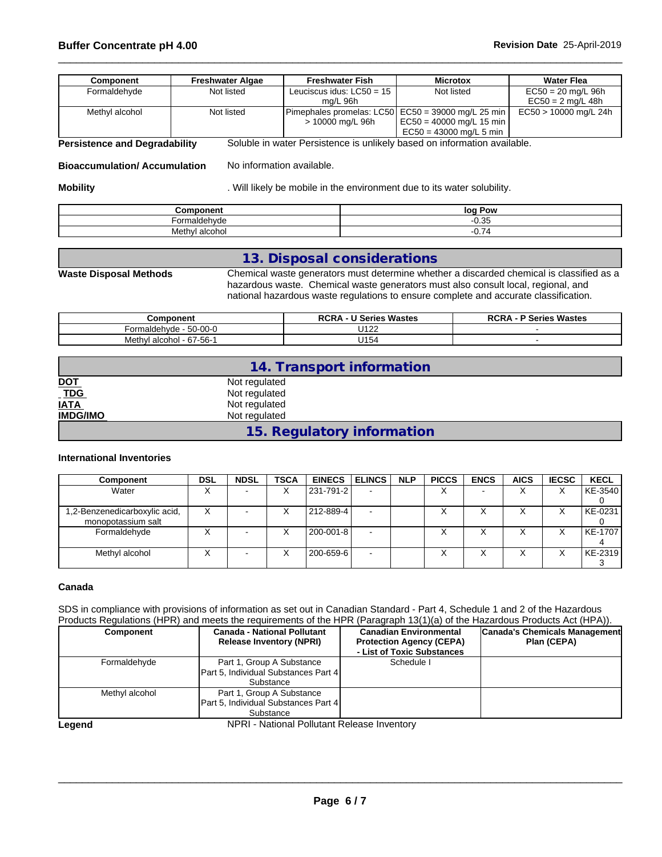# \_\_\_\_\_\_\_\_\_\_\_\_\_\_\_\_\_\_\_\_\_\_\_\_\_\_\_\_\_\_\_\_\_\_\_\_\_\_\_\_\_\_\_\_\_\_\_\_\_\_\_\_\_\_\_\_\_\_\_\_\_\_\_\_\_\_\_\_\_\_\_\_\_\_\_\_\_\_\_\_\_\_\_\_\_\_\_\_\_\_\_\_\_\_ **Buffer Concentrate pH 4.00 Revision Date** 25-April-2019

| <b>Component</b>                     | <b>Freshwater Algae</b> | <b>Freshwater Fish</b>                  | <b>Microtox</b>                                                                                                     | <b>Water Flea</b>                           |
|--------------------------------------|-------------------------|-----------------------------------------|---------------------------------------------------------------------------------------------------------------------|---------------------------------------------|
| Formaldehyde                         | Not listed              | Leuciscus idus: $LC50 = 15$<br>ma/L 96h | Not listed                                                                                                          | $EC50 = 20$ mg/L 96h<br>$EC50 = 2$ mg/L 48h |
| Methyl alcohol                       | Not listed              | > 10000 mg/L 96h                        | Pimephales promelas: LC50 EC50 = 39000 mg/L 25 min<br>$\vert$ EC50 = 40000 mg/L 15 min<br>$EC50 = 43000$ mg/L 5 min | EC50 > 10000 mg/L 24h                       |
| <b>Persistence and Degradability</b> |                         |                                         | Soluble in water Persistence is unlikely based on information available.                                            |                                             |

**Bioaccumulation/ Accumulation** No information available.

**Mobility Mobility .** Will likely be mobile in the environment due to its water solubility.

| <b>Component</b>         | log<br>Pow |
|--------------------------|------------|
| -armald:<br>ehvde<br>JI' | 0.35       |
| Methy'<br>alcohol        | 74<br>◡.,  |

### **13. Disposal considerations**

**Waste Disposal Methods** Chemical waste generators must determine whether a discarded chemical is classified as a hazardous waste. Chemical waste generators must also consult local, regional, and national hazardous waste regulations to ensure complete and accurate classification.

| <b>Component</b>                                            | Series Wastes<br><b>RCR</b><br>. | Wastes<br>ימה<br>Series ?<br>nun/ |
|-------------------------------------------------------------|----------------------------------|-----------------------------------|
| $\sim$ $\sim$<br><u>-^</u><br>-ormalder<br>50-00-0<br>∾⊓vuu | 1100<br>◡◦▵▵                     |                                   |
| $\sim$<br>Meth<br>07<br>alcohol<br>- 67-56-                 | <b>LIA F.</b><br>U154            |                                   |

|                                                                                                                                                                                                                                                                                                                     | 14. Transport information  |  |
|---------------------------------------------------------------------------------------------------------------------------------------------------------------------------------------------------------------------------------------------------------------------------------------------------------------------|----------------------------|--|
| <u>DOT</u>                                                                                                                                                                                                                                                                                                          | Not regulated              |  |
| $\frac{1}{1}$ $\frac{1}{1}$ $\frac{1}{1}$ $\frac{1}{1}$ $\frac{1}{1}$ $\frac{1}{1}$ $\frac{1}{1}$ $\frac{1}{1}$ $\frac{1}{1}$ $\frac{1}{1}$ $\frac{1}{1}$ $\frac{1}{1}$ $\frac{1}{1}$ $\frac{1}{1}$ $\frac{1}{1}$ $\frac{1}{1}$ $\frac{1}{1}$ $\frac{1}{1}$ $\frac{1}{1}$ $\frac{1}{1}$ $\frac{1}{1}$ $\frac{1}{1}$ | Not regulated              |  |
|                                                                                                                                                                                                                                                                                                                     | Not regulated              |  |
| <b>IMDG/IMO</b>                                                                                                                                                                                                                                                                                                     | Not regulated              |  |
|                                                                                                                                                                                                                                                                                                                     | 15. Regulatory information |  |

#### **International Inventories**

| <b>Component</b>                                    | DSL | <b>NDSL</b> | <b>TSCA</b> | EINECS ELINCS |        | <b>NLP</b> | <b>PICCS</b>      | <b>ENCS</b>              | <b>AICS</b> | <b>IECSC</b> | <b>KECL</b> |
|-----------------------------------------------------|-----|-------------|-------------|---------------|--------|------------|-------------------|--------------------------|-------------|--------------|-------------|
| Water                                               |     |             | ⋏           | 231-791-2     |        |            | $\checkmark$<br>∧ | $\overline{\phantom{0}}$ | v           | v<br>Λ       | KE-3540     |
|                                                     |     |             |             |               |        |            |                   |                          |             |              |             |
| 1,2-Benzenedicarboxylic acid,<br>monopotassium salt | ^   |             | ⋏           | 212-889-4     |        |            |                   | ⌒                        |             |              | KE-0231     |
| Formaldehyde                                        |     |             |             | 200-001-8     | $\sim$ |            |                   | ↗                        |             |              | KE-1707     |
| Methyl alcohol                                      |     |             |             | 200-659-6     | $\sim$ |            | Λ                 | Λ                        |             |              | KE-2319     |

#### **Canada**

SDS in compliance with provisions of information as set out in Canadian Standard - Part 4, Schedule 1 and 2 of the Hazardous Products Regulations (HPR) and meets the requirements of the HPR (Paragraph 13(1)(a) of the Hazardous Products Act (HPA)).

| <b>Component</b> | <b>Canada - National Pollutant</b><br><b>Release Inventory (NPRI)</b>          | <b>Canadian Environmental</b><br><b>Protection Agency (CEPA)</b><br>- List of Toxic Substances | Canada's Chemicals Management<br>Plan (CEPA) |
|------------------|--------------------------------------------------------------------------------|------------------------------------------------------------------------------------------------|----------------------------------------------|
| Formaldehyde     | Part 1, Group A Substance<br>Part 5, Individual Substances Part 4<br>Substance | Schedule I                                                                                     |                                              |
| Methyl alcohol   | Part 1, Group A Substance<br>Part 5, Individual Substances Part 4<br>Substance |                                                                                                |                                              |

Legend **NPRI** - National Pollutant Release Inventory